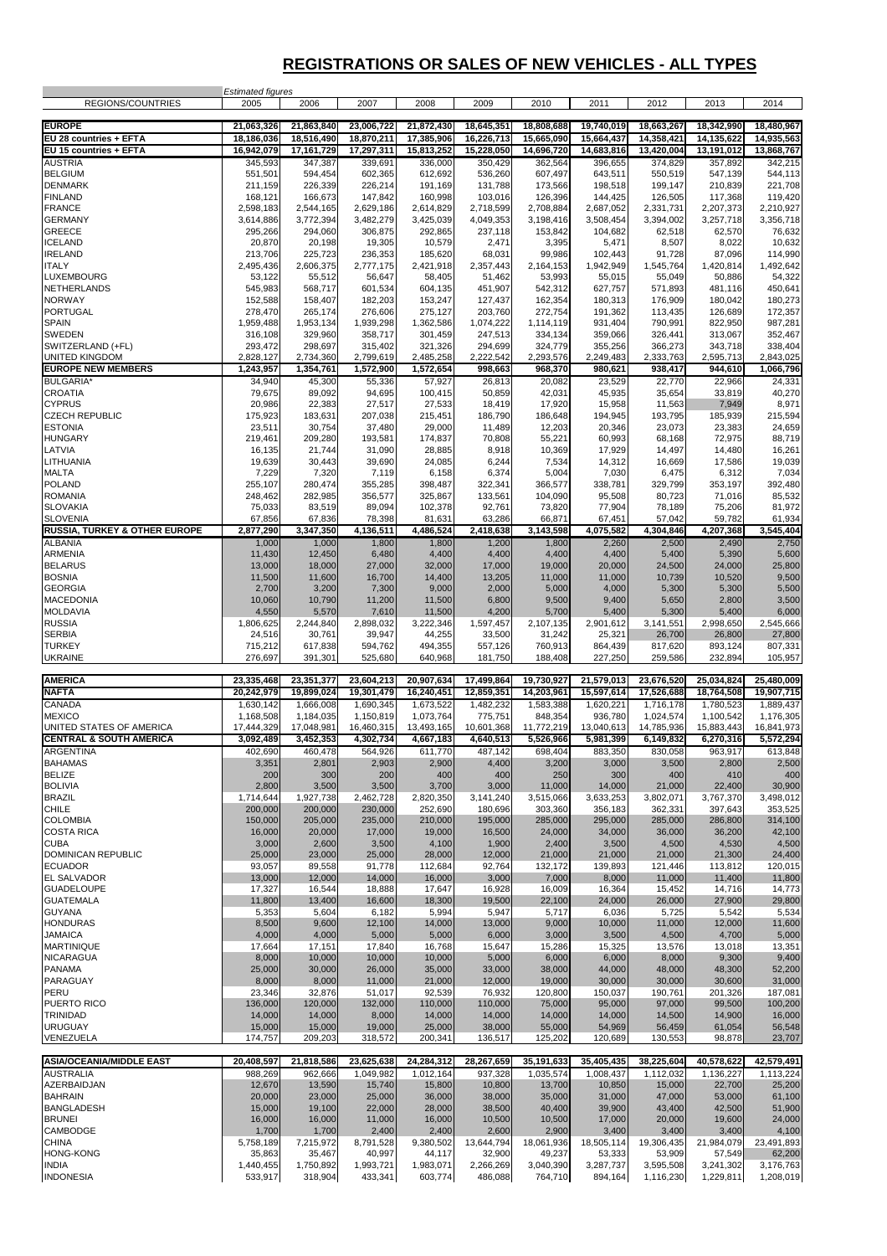## **REGISTRATIONS OR SALES OF NEW VEHICLES - ALL TYPES**

| REGIONS/COUNTRIES                        | <b>Estimated figures</b><br>2005 | 2006                    | 2007                    | 2008                    | 2009                   | 2010                   | 2011                   | 2012                    | 2013                    | 2014                                      |
|------------------------------------------|----------------------------------|-------------------------|-------------------------|-------------------------|------------------------|------------------------|------------------------|-------------------------|-------------------------|-------------------------------------------|
| <b>EUROPE</b>                            | 21,063,326                       | 21,863,840              | 23,006,722              | 21,872,430              | 18,645,351             | 18,808,688             | 19,740,019             | 18,663,267              | 18,342,990              | 18,480,967                                |
| EU 28 countries + EFTA                   | 18,186,036                       | 18,516,490              | 18,870,211              | 17,385,906              | 16,226,713             | 15,665,090             | 15,664,437             | 14,358,421              | 14,135,622              | 14,935,563                                |
| EU 15 countries + EFTA<br><b>AUSTRIA</b> | 16,942,079                       | 17,161,729<br>347,387   | 17,297,311              | 15,813,252              | 15,228,050             | 14,696,720             | 14,683,816             | 13,420,004              | 13,191,012              | 13,868,767<br>342,215                     |
| <b>BELGIUM</b>                           | 345,593<br>551,501               | 594,454                 | 339,691<br>602,365      | 336,000<br>612,692      | 350,429<br>536,260     | 362,564<br>607,497     | 396,655<br>643,511     | 374,829<br>550,519      | 357,892<br>547,139      | 544,113                                   |
| <b>DENMARK</b>                           | 211,159                          | 226,339                 | 226,214                 | 191,169                 | 131,788                | 173,566                | 198,518                | 199,147                 | 210,839                 | 221,708                                   |
| <b>FINLAND</b>                           | 168,121                          | 166,673                 | 147,842                 | 160,998                 | 103,016                | 126,396                | 144,425                | 126,505                 | 117,368                 | 119,420                                   |
| <b>FRANCE</b><br><b>GERMANY</b>          | 2,598,183<br>3,614,886           | 2,544,165<br>3,772,394  | 2,629,186<br>3,482,279  | 2,614,829<br>3,425,039  | 2,718,599<br>4,049,353 | 2,708,884<br>3,198,416 | 2,687,052<br>3,508,454 | 2,331,731<br>3,394,002  | 2,207,373<br>3,257,718  | 2,210,927<br>3,356,718                    |
| <b>GREECE</b>                            | 295,266                          | 294,060                 | 306,875                 | 292,865                 | 237,118                | 153,842                | 104,682                | 62,518                  | 62,570                  | 76,632                                    |
| <b>ICELAND</b>                           | 20,870                           | 20,198                  | 19,305                  | 10,579                  | 2,471                  | 3,395                  | 5,471                  | 8,507                   | 8,022                   | 10,632                                    |
| <b>IRELAND</b><br><b>ITALY</b>           | 213,706<br>2,495,436             | 225,723<br>2,606,375    | 236,353<br>2,777,175    | 185,620<br>2,421,918    | 68,031<br>2,357,443    | 99,986<br>2,164,153    | 102,443<br>1,942,949   | 91,728<br>1,545,764     | 87,096<br>1,420,814     | 114,990<br>1,492,642                      |
| LUXEMBOURG                               | 53,122                           | 55,512                  | 56,647                  | 58,405                  | 51,462                 | 53,993                 | 55,015                 | 55,049                  | 50,886                  | 54,322                                    |
| <b>NETHERLANDS</b>                       | 545,983                          | 568,717                 | 601,534                 | 604,135                 | 451,907                | 542,312                | 627,757                | 571,893                 | 481,116                 | 450,641                                   |
| <b>NORWAY</b><br><b>PORTUGAL</b>         | 152,588<br>278,470               | 158,407<br>265,174      | 182,203<br>276,606      | 153,247<br>275,127      | 127,437<br>203,760     | 162,354<br>272,754     | 180,313<br>191,362     | 176,909<br>113,435      | 180,042<br>126,689      | 180,273<br>172,357                        |
| <b>SPAIN</b>                             | 1,959,488                        | 1,953,134               | 1,939,298               | 1,362,586               | 1,074,222              | 1,114,119              | 931,404                | 790,991                 | 822,950                 | 987,281                                   |
| SWEDEN                                   | 316,108                          | 329,960                 | 358,717                 | 301,459                 | 247,513                | 334,134                | 359,066                | 326,441                 | 313,067                 | 352,467                                   |
| SWITZERLAND (+FL)<br>UNITED KINGDOM      | 293,472<br>2,828,127             | 298,697<br>2,734,360    | 315,402<br>2,799,619    | 321,326<br>2,485,258    | 294,699<br>2,222,542   | 324,779<br>2,293,576   | 355,256<br>2,249,483   | 366,273<br>2,333,763    | 343,718<br>2,595,713    | 338,404<br>2,843,025                      |
| <b>EUROPE NEW MEMBERS</b>                | 1,243,957                        | 1,354,761               | 1,572,900               | 1,572,654               | 998,663                | 968,370                | 980,621                | 938,417                 | 944,610                 | 1,066,796                                 |
| <b>BULGARIA</b>                          | 34,940                           | 45,300                  | 55,336                  | 57,927                  | 26,813                 | 20,082                 | 23,529                 | 22,770                  | 22,966                  | 24,331                                    |
| CROATIA                                  | 79,675                           | 89,092                  | 94,695                  | 100,415                 | 50,859                 | 42,031                 | 45,935                 | 35,654                  | 33,819                  | 40,270                                    |
| <b>CYPRUS</b><br><b>CZECH REPUBLIC</b>   | 20,986<br>175,923                | 22,383<br>183,631       | 27,517<br>207,038       | 27,533<br>215,451       | 18,419<br>186,790      | 17,920<br>186,648      | 15,958<br>194,945      | 11,563<br>193,795       | 7,949<br>185,939        | 8,971<br>215,594                          |
| <b>ESTONIA</b>                           | 23,511                           | 30,754                  | 37,480                  | 29,000                  | 11,489                 | 12,203                 | 20,346                 | 23,073                  | 23,383                  | 24,659                                    |
| <b>HUNGARY</b>                           | 219,461                          | 209,280                 | 193,581                 | 174,837                 | 70,808                 | 55,221                 | 60,993                 | 68,168                  | 72,975                  | 88,719                                    |
| LATVIA<br>LITHUANIA                      | 16,135<br>19,639                 | 21,744<br>30,443        | 31,090<br>39,690        | 28,885<br>24,085        | 8,918<br>6,244         | 10,369<br>7,534        | 17,929<br>14,312       | 14,497<br>16,669        | 14,480<br>17,586        | 16,261<br>19,039                          |
| <b>MALTA</b>                             | 7,229                            | 7,320                   | 7,119                   | 6,158                   | 6,374                  | 5,004                  | 7,030                  | 6,475                   | 6,312                   | 7,034                                     |
| <b>POLAND</b>                            | 255,107                          | 280,474                 | 355,285                 | 398,487                 | 322,341                | 366,577                | 338,781                | 329,799                 | 353,197                 | 392,480                                   |
| <b>ROMANIA</b><br><b>SLOVAKIA</b>        | 248,462                          | 282,985                 | 356,577                 | 325,867                 | 133,561                | 104,090                | 95,508                 | 80,723                  | 71,016                  | 85,532                                    |
| <b>SLOVENIA</b>                          | 75,033<br>67,856                 | 83,519<br>67,836        | 89,094<br>78,398        | 102,378<br>81,631       | 92,761<br>63,286       | 73,820<br>66,871       | 77,904<br>67,451       | 78,189<br>57,042        | 75,206<br>59,782        | 81,972<br>61,934                          |
| <b>RUSSIA, TURKEY &amp; OTHER EUROPE</b> | 2,877,290                        | 3,347,350               | 4,136,511               | 4,486,524               | 2,418,638              | 3,143,598              | 4,075,582              | 4,304,846               | 4,207,368               | 3,545,404                                 |
| <b>ALBANIA</b>                           | 1,000                            | 1,000                   | 1,800                   | 1,800                   | 1,200                  | 1,800                  | 2,260                  | 2,500                   | 2,490                   | 2,750                                     |
| ARMENIA<br><b>BELARUS</b>                | 11,430<br>13,000                 | 12,450<br>18,000        | 6,480<br>27,000         | 4,400<br>32,000         | 4,400<br>17,000        | 4,400<br>19,000        | 4,400<br>20,000        | 5,400<br>24,500         | 5,390<br>24,000         | 5,600<br>25,800                           |
| <b>BOSNIA</b>                            | 11,500                           | 11,600                  | 16,700                  | 14,400                  | 13,205                 | 11,000                 | 11,000                 | 10,739                  | 10,520                  | 9,500                                     |
| <b>GEORGIA</b>                           | 2,700                            | 3,200                   | 7,300                   | 9,000                   | 2,000                  | 5,000                  | 4,000                  | 5,300                   | 5,300                   | 5,500                                     |
| <b>MACEDONIA</b><br><b>MOLDAVIA</b>      | 10,060<br>4,550                  | 10,790<br>5,570         | 11,200<br>7,610         | 11,500<br>11,500        | 6,800<br>4,200         | 9,500<br>5,700         | 9,400<br>5,400         | 5,650<br>5,300          | 2,800<br>5,400          | 3,500<br>6,000                            |
| <b>RUSSIA</b>                            | 1,806,625                        | 2,244,840               | 2,898,032               | 3,222,346               | 1,597,457              | 2,107,135              | 2,901,612              | 3,141,551               | 2,998,650               | 2,545,666                                 |
| <b>SERBIA</b>                            | 24,516                           | 30,761                  | 39,947                  | 44,255                  | 33,500                 | 31,242                 | 25,321                 | 26,700                  | 26,800                  | 27,800                                    |
| <b>TURKEY</b>                            |                                  |                         |                         |                         |                        |                        |                        |                         |                         | 807,331                                   |
|                                          | 715,212                          | 617,838                 | 594,762                 | 494,355                 | 557,126                | 760,913                | 864,439                | 817,620                 | 893,124                 |                                           |
| <b>UKRAINE</b>                           | 276,697                          | 391,301                 | 525,680                 | 640,968                 | 181,750                | 188,408                | 227,250                | 259,586                 | 232,894                 | 105,957                                   |
| <b>AMERICA</b>                           | 23,335,468                       | 23,351,377              | 23,604,213              | 20,907,634              | 17,499,864             | 19,730,927             | 21,579,013             | 23,676,520              | 25,034,824              | 25,480,009                                |
| <b>NAFTA</b>                             | 20,242,979                       | 19,899,024              | 19,301,479              | 16,240,451              | 12,859,351             | 14,203,961             | 15,597,614             | 17,526,688              | 18,764,508              | 19,907,715                                |
| CANADA<br><b>MEXICO</b>                  | 1,630,142                        | 1,666,008               | 1,690,345               | 1,673,522               | 1,482,232              | 1,583,388              | 1,620,221              | 1,716,178               | 1,780,523               | 1,889,437                                 |
| UNITED STATES OF AMERICA                 | 1,168,508<br>17,444,329          | 1,184,035<br>17,048,981 | 1,150,819<br>16,460,315 | 1,073,764<br>13,493,165 | 775,751<br>10,601,368  | 848,354<br>11,772,219  | 936,780<br>13,040,613  | 1,024,574<br>14,785,936 | 1,100,542<br>15,883,443 | 1,176,305<br>16,841,973                   |
| <b>CENTRAL &amp; SOUTH AMERICA</b>       | 3,092,489                        | 3,452,353               | 4,302,734               | 4,667,183               | 4,640,513              | 5,526,966              | 5,981,399              | 6,149,832               | 6,270,316               | 5,572,294                                 |
| <b>ARGENTINA</b>                         | 402,690                          | 460,478                 | 564,926                 | 611,770                 | 487,142                | 698,404                | 883,350                | 830,058                 | 963,917                 | 613,848                                   |
| <b>BAHAMAS</b><br><b>BELIZE</b>          | 3,351<br>200                     | 2,801<br>300            | 2,903<br>200            | 2,900<br>400            | 4,400<br>400           | 3,200<br>250           | 3,000<br>300           | 3,500<br>400            | 2,800<br>410            | 400                                       |
| <b>BOLIVIA</b>                           | 2,800                            | 3,500                   | 3,500                   | 3,700                   | 3,000                  | 11,000                 | 14,000                 | 21,000                  | 22,400                  | 30,900                                    |
| <b>BRAZIL</b>                            | 1,714,644                        | 1,927,738               | 2,462,728               | 2,820,350               | 3,141,240              | 3,515,066              | 3,633,253              | 3,802,071               | 3,767,370               | 3,498,012                                 |
| <b>CHILE</b><br><b>COLOMBIA</b>          | 200,000<br>150,000               | 200.000<br>205,000      | 230,000<br>235,000      | 252,690<br>210,000      | 180,696<br>195,000     | 303,360<br>285,000     | 356,183<br>295,000     | 362,331<br>285,000      | 397,643<br>286,800      | 353,525<br>314,100                        |
| <b>COSTA RICA</b>                        | 16,000                           | 20,000                  | 17,000                  | 19,000                  | 16,500                 | 24,000                 | 34,000                 | 36,000                  | 36,200                  | 42,100                                    |
| <b>CUBA</b>                              | 3,000                            | 2,600                   | 3,500                   | 4,100                   | 1,900                  | 2,400                  | 3,500                  | 4,500                   | 4,530                   | 4,500                                     |
| DOMINICAN REPUBLIC<br><b>ECUADOR</b>     | 25,000<br>93,057                 | 23,000<br>89,558        | 25,000<br>91,778        | 28,000<br>112,684       | 12,000<br>92,764       | 21,000<br>132,172      | 21,000<br>139,893      | 21,000<br>121,446       | 21,300<br>113,812       | 24,400<br>120,015                         |
| <b>EL SALVADOR</b>                       | 13,000                           | 12,000                  | 14,000                  | 16,000                  | 3,000                  | 7,000                  | 8,000                  | 11,000                  | 11,400                  | 11,800                                    |
| <b>GUADELOUPE</b>                        | 17,327                           | 16,544                  | 18,888                  | 17,647                  | 16,928                 | 16,009                 | 16,364                 | 15,452                  | 14,716                  | 14,773                                    |
| <b>GUATEMALA</b><br><b>GUYANA</b>        | 11,800<br>5,353                  | 13,400<br>5,604         | 16,600<br>6,182         | 18,300<br>5,994         | 19,500<br>5,947        | 22,100<br>5,717        | 24,000<br>6,036        | 26,000<br>5,725         | 27,900<br>5,542         | 29,800<br>5,534                           |
| <b>HONDURAS</b>                          | 8,500                            | 9,600                   | 12,100                  | 14,000                  | 13,000                 | 9,000                  | 10,000                 | 11,000                  | 12,000                  | 11,600                                    |
| <b>JAMAICA</b>                           | 4,000                            | 4,000                   | 5,000                   | 5,000                   | 6,000                  | 3,000                  | 3,500                  | 4,500                   | 4,700                   | 5,000                                     |
| <b>MARTINIQUE</b>                        | 17,664                           | 17,151                  | 17,840                  | 16,768                  | 15,647                 | 15,286                 | 15,325                 | 13,576                  | 13,018                  | 13,351                                    |
| <b>NICARAGUA</b><br><b>PANAMA</b>        | 8,000<br>25,000                  | 10,000<br>30,000        | 10,000<br>26,000        | 10,000<br>35,000        | 5,000<br>33,000        | 6,000<br>38,000        | 6,000<br>44,000        | 8,000<br>48,000         | 9,300<br>48,300         | 9,400<br>52,200                           |
| PARAGUAY                                 | 8,000                            | 8,000                   | 11,000                  | 21,000                  | 12,000                 | 19,000                 | 30,000                 | 30,000                  | 30,600                  | 31,000                                    |
| PERU                                     | 23,346                           | 32,876                  | 51,017                  | 92,539                  | 76,932                 | 120,800                | 150,037                | 190,761                 | 201,326                 | 187,081                                   |
| PUERTO RICO<br><b>TRINIDAD</b>           | 136,000<br>14,000                | 120,000<br>14,000       | 132,000<br>8,000        | 110,000<br>14,000       | 110,000<br>14,000      | 75,000<br>14,000       | 95,000<br>14,000       | 97,000<br>14,500        | 99,500<br>14,900        | 100,200<br>16,000                         |
| <b>URUGUAY</b>                           | 15,000                           | 15,000                  | 19,000                  | 25,000                  | 38,000                 | 55,000                 | 54,969                 | 56,459                  | 61,054                  | 56,548                                    |
| VENEZUELA                                | 174,757                          | 209,203                 | 318,572                 | 200,341                 | 136,517                | 125,202                | 120,689                | 130,553                 | 98,878                  | 23,707                                    |
| <b>ASIA/OCEANIA/MIDDLE EAST</b>          | 20,408,597                       | 21,818,586              | 23,625,638              | 24,284,312              | 28,267,659             | 35,191,633             | 35,405,435             | 38,225,604              | 40,578,622              | 42,579,491                                |
| <b>AUSTRALIA</b>                         | 988,269                          | 962,666                 | 1,049,982               | 1,012,164               | 937,328                | 1,035,574              | 1,008,437              | 1,112,032               | 1,136,227               | 1,113,224                                 |
| AZERBAIDJAN<br><b>BAHRAIN</b>            | 12,670<br>20,000                 | 13,590<br>23,000        | 15,740<br>25,000        | 15,800<br>36,000        | 10,800<br>38,000       | 13,700<br>35,000       | 10,850<br>31,000       | 15,000<br>47,000        | 22,700<br>53,000        | 25,200<br>61,100                          |
| <b>BANGLADESH</b>                        | 15,000                           | 19,100                  | 22,000                  | 28,000                  | 38,500                 | 40,400                 | 39,900                 | 43,400                  | 42,500                  | 51,900                                    |
| <b>BRUNEI</b>                            | 16,000                           | 16,000                  | 11,000                  | 16,000                  | 10,500                 | 10,500                 | 17,000                 | 20,000                  | 19,600                  | 24,000                                    |
| CAMBODGE<br><b>CHINA</b>                 | 1,700<br>5,758,189               | 1,700<br>7,215,972      | 2,400<br>8,791,528      | 2,400<br>9,380,502      | 2,600<br>13,644,794    | 2,900<br>18,061,936    | 3,400<br>18,505,114    | 3,400<br>19,306,435     | 3,400<br>21,984,079     | 4,100<br>23,491,893                       |
| <b>HONG-KONG</b>                         | 35,863                           | 35,467                  | 40,997                  | 44,117                  | 32,900                 | 49,237                 | 53,333                 | 53,909                  | 57,549                  |                                           |
| <b>INDIA</b><br><b>INDONESIA</b>         | 1,440,455<br>533,917             | 1,750,892<br>318,904    | 1,993,721<br>433,341    | 1,983,071<br>603,774    | 2,266,269<br>486,088   | 3,040,390<br>764,710   | 3,287,737<br>894,164   | 3,595,508<br>1,116,230  | 3,241,302<br>1,229,811  | 2,500<br>62,200<br>3,176,763<br>1,208,019 |